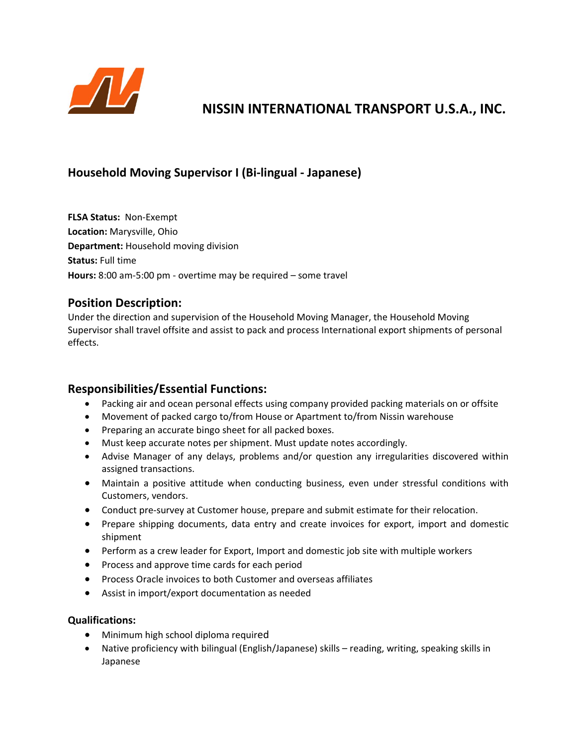

# **NISSIN INTERNATIONAL TRANSPORT U.S.A., INC.**

## **Household Moving Supervisor I (Bi‐lingual ‐ Japanese)**

**FLSA Status:** Non‐Exempt **Location:** Marysville, Ohio **Department: Household moving division Status:** Full time **Hours:** 8:00 am‐5:00 pm ‐ overtime may be required – some travel

### **Position Description:**

Under the direction and supervision of the Household Moving Manager, the Household Moving Supervisor shall travel offsite and assist to pack and process International export shipments of personal effects.

#### **Responsibilities/Essential Functions:**

- Packing air and ocean personal effects using company provided packing materials on or offsite
- Movement of packed cargo to/from House or Apartment to/from Nissin warehouse
- Preparing an accurate bingo sheet for all packed boxes.
- Must keep accurate notes per shipment. Must update notes accordingly.
- Advise Manager of any delays, problems and/or question any irregularities discovered within assigned transactions.
- Maintain a positive attitude when conducting business, even under stressful conditions with Customers, vendors.
- Conduct pre-survey at Customer house, prepare and submit estimate for their relocation.
- Prepare shipping documents, data entry and create invoices for export, import and domestic shipment
- Perform as a crew leader for Export, Import and domestic job site with multiple workers
- Process and approve time cards for each period
- **•** Process Oracle invoices to both Customer and overseas affiliates
- Assist in import/export documentation as needed

#### **Qualifications:**

- Minimum high school diploma required
- Native proficiency with bilingual (English/Japanese) skills reading, writing, speaking skills in Japanese